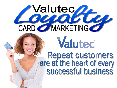# **Nalutecy** Valutec Repeat customers<br>are at the heart of every<br>successful business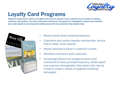

# Loyalty Card Programs

Research shows that it costs up to eight times more to acquire a new customer, than to keep an existing customer coming back. Yet many merchants continue to over-spend on campaigns to attract new business and under-spend on securing and building value with the customers they already have.



- Reward cards boost shopping frequency
- Customers earn points towards merchandise, service and/or dollar value rewards
- Places merchant's brand in customer's wallet
- Identifies merchant's best customers
- Increasingly feature-rich programs allow small merchants to track purchase frequency, dollars spent and customer demographic information that may be mined to create a variety of targeted marketing campaigns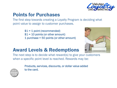

### Points for Purchases

The first step towards creating a Loyalty Program is deciding what point value to assign to customer purchases.

> $$1 = 1$  point (recommended)  $$1 = 10$  points (or other amount) 1 purchase = 50 points (or other amount)



The next step is to decide what reward(s) to give your customers when a specific point level is reached. Rewards may be:

Products, services, discounts, or dollar value added to the card.

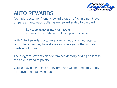

# AUTO REWARDS

A simple, customer-friendly reward program. A single point level triggers an automatic dollar value reward added to the card.

> $$1 = 1$  point, 50 points = \$5 reward (equivalent to a 10% discount for repeat customers)

With Auto Rewards, customers are continuously motivated to return because they have dollars or points (or both) on their cards at all times.

The program prevents clerks from accidentally adding dollars to the card instead of points.

Values may be changed at any time and will immediately apply to all active and inactive cards.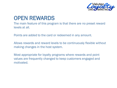

## OPEN REWARDS

The main feature of this program is that there are no preset reward levels at all.

Points are added to the card or redeemed in any amount.

Allows rewards and reward levels to be continuously flexible without making changes in the host system.

Most appropriate for loyalty programs where rewards and point values are frequently changed to keep customers engaged and motivated.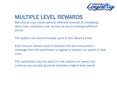

# MULTIPLE LEVEL REWARDS

Merchants may create several different rewards of increasing value that customers may receive by accumulating sufficient points.

The system can accommodate up to 6 (six) Award Levels.

Each time an Award Level is reached, the terminal prints a message that the cardholder is eligible to redeem an award at that time.

The cardholder has the option to not redeem an award and continue accumulating points towards a higher-level award.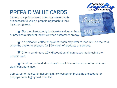# PREPAID VALUE CARDS

Instead of a points-based offer, many merchants are successful using a prepaid approach to their loyalty programs.



towards your next visit

The merchant simply loads extra value on the card  $\leq 10$ or provides a discount incentive when customers prepay.

A drycleaner, coffee shop or carwash may offer to load \$55 on the card when the customer prepays for \$50 worth of products or services.

Offer a continuous 10% discount on all purchases made using the prepaid card.

Send out preloaded cards with a set discount amount off a minimum significant purchase.

Compared to the cost of acquiring a new customer, providing a discount for prepayment is highly cost effective.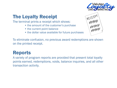

### The Loyalty Receipt

The terminal prints a receipt which shows:

- the amount of the customer's purchase
- the current point balance
- the dollar value available for future purchases



To eliminate confusion, no previous award redemptions are shown on the printed receipt.

#### Reports

A variety of program reports are provided that present total loyalty points earned, redemptions, voids, balance inquiries, and all other transaction activity.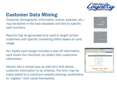

## Customer Data Mining

Customer demographic information (name, address, etc.) may be stored in the host database and tied to specific card numbers.

Reports may be generated and used to target certain customers with specific marketing offers based on card usage.

Our loyalty card hanger includes a tear-off information card where the merchant my collect their customers information

Valutec has a simple pop-up web form that allows customer information to be entered. The form may be easily added to a merchant website allowing cardholders to "register" their cards themselves.



| Valutec Customer Application Center - Windows Internet Explorer  |                                        |                       |
|------------------------------------------------------------------|----------------------------------------|-----------------------|
| B https://www.vakitec.net/Customers/CardRegistration > 4 + x com |                                        | $\mathbf{p}$          |
| E value Card Solut & Values Custo X                              | Q · 回 编 · 2 Bage · ◎ Tgok · @          |                       |
| Online Store   Support   Valutes News   Contact Us   Hor         | <b>Own Card with</b>                   | Preview!!!            |
|                                                                  |                                        |                       |
|                                                                  | Card Registration:                     |                       |
|                                                                  |                                        |                       |
| Card No:                                                         |                                        |                       |
| Name:                                                            |                                        |                       |
| Address:                                                         | <b>Contract Contract</b>               |                       |
|                                                                  |                                        |                       |
| City State Zip:                                                  | the control of the control of the      |                       |
| Phone:                                                           | AL                                     |                       |
| Email:                                                           |                                        |                       |
| Date of Birth (MM/DD/YYYY);                                      |                                        |                       |
|                                                                  |                                        |                       |
| View/Edit Record                                                 | Cancel<br>Submit                       |                       |
|                                                                  |                                        |                       |
|                                                                  | Reveal Card Balance After Registration | ь                     |
|                                                                  | <b>O</b> Internet                      | <sup>(6</sup> , 100%) |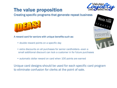

## The value proposition

Creating specific programs that generate repeat business



A reward card for seniors with unique benefits such as:

- double reward points on a specific day
- extra discounts on all purchases for senior cardholders—even a small additional discount can lock a customer in for future purchases
- automatic dollar reward on card when 100 points are earned

Unique card designs should be used for each specific card program to eliminate confusion for clerks at the point of sale.